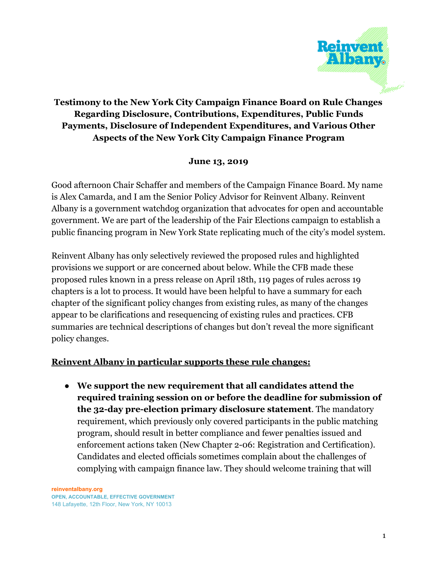

## **Testimony to the New York City Campaign Finance Board on Rule Changes Regarding Disclosure, Contributions, Expenditures, Public Funds Payments, Disclosure of Independent Expenditures, and Various Other Aspects of the New York City Campaign Finance Program**

## **June 13, 2019**

Good afternoon Chair Schaffer and members of the Campaign Finance Board. My name is Alex Camarda, and I am the Senior Policy Advisor for Reinvent Albany. Reinvent Albany is a government watchdog organization that advocates for open and accountable government. We are part of the leadership of the Fair Elections campaign to establish a public financing program in New York State replicating much of the city's model system.

Reinvent Albany has only selectively reviewed the proposed rules and highlighted provisions we support or are concerned about below. While the CFB made these proposed rules known in a press release on April 18th, 119 pages of rules across 19 chapters is a lot to process. It would have been helpful to have a summary for each chapter of the significant policy changes from existing rules, as many of the changes appear to be clarifications and resequencing of existing rules and practices. CFB summaries are technical descriptions of changes but don't reveal the more significant policy changes.

## **Reinvent Albany in particular supports these rule changes:**

● **We support the new requirement that all candidates attend the required training session on or before the deadline for submission of the 32-day pre-election primary disclosure statement**. The mandatory requirement, which previously only covered participants in the public matching program, should result in better compliance and fewer penalties issued and enforcement actions taken (New Chapter 2-06: Registration and Certification). Candidates and elected officials sometimes complain about the challenges of complying with campaign finance law. They should welcome training that will

**reinventalbany.org OPEN, ACCOUNTABLE, EFFECTIVE GOVERNMENT** 148 Lafayette, 12th Floor, New York, NY 10013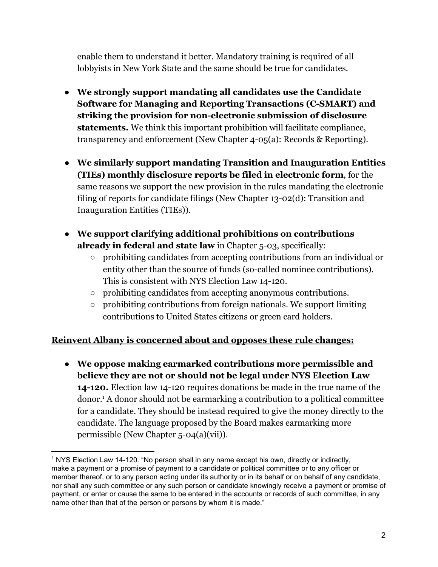enable them to understand it better. Mandatory training is required of all lobbyists in New York State and the same should be true for candidates.

- **We strongly support mandating all candidates use the Candidate Software for Managing and Reporting Transactions (C-SMART) and striking the provision for non-electronic submission of disclosure statements.** We think this important prohibition will facilitate compliance, transparency and enforcement (New Chapter 4-05(a): Records & Reporting).
- **We similarly support mandating Transition and Inauguration Entities (TIEs) monthly disclosure reports be filed in electronic form**, for the same reasons we support the new provision in the rules mandating the electronic filing of reports for candidate filings (New Chapter 13-02(d): Transition and Inauguration Entities (TIEs)).
- **We support clarifying additional prohibitions on contributions already in federal and state law** in Chapter 5-03, specifically:
	- prohibiting candidates from accepting contributions from an individual or entity other than the source of funds (so-called nominee contributions). This is consistent with NYS Election Law 14-120.
	- prohibiting candidates from accepting anonymous contributions.
	- prohibiting contributions from foreign nationals. We support limiting contributions to United States citizens or green card holders.

## **Reinvent Albany is concerned about and opposes these rule changes:**

● **We oppose making earmarked contributions more permissible and believe they are not or should not be legal under NYS Election Law 14-120.** Election law 14-120 requires donations be made in the true name of the donor.<sup>1</sup> A donor should not be earmarking a contribution to a political committee for a candidate. They should be instead required to give the money directly to the candidate. The language proposed by the Board makes earmarking more permissible (New Chapter 5-04(a)(vii)).

<sup>1</sup> NYS Election Law 14-120. "No person shall in any name except his own, directly or indirectly, make a payment or a promise of payment to a candidate or political committee or to any officer or member thereof, or to any person acting under its authority or in its behalf or on behalf of any candidate, nor shall any such committee or any such person or candidate knowingly receive a payment or promise of payment, or enter or cause the same to be entered in the accounts or records of such committee, in any name other than that of the person or persons by whom it is made."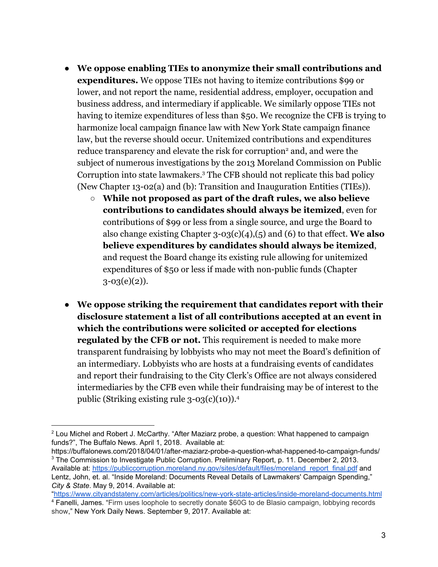- **We oppose enabling TIEs to anonymize their small contributions and expenditures.** We oppose TIEs not having to itemize contributions \$99 or lower, and not report the name, residential address, employer, occupation and business address, and intermediary if applicable. We similarly oppose TIEs not having to itemize expenditures of less than \$50. We recognize the CFB is trying to harmonize local campaign finance law with New York State campaign finance law, but the reverse should occur. Unitemized contributions and expenditures reduce transparency and elevate the risk for corruption<sup>2</sup> and, and were the subject of numerous investigations by the 2013 Moreland Commission on Public Corruption into state lawmakers.<sup>3</sup> The CFB should not replicate this bad policy (New Chapter 13-02(a) and (b): Transition and Inauguration Entities (TIEs)).
	- **While not proposed as part of the draft rules, we also believe contributions to candidates should always be itemized**, even for contributions of \$99 or less from a single source, and urge the Board to also change existing Chapter 3-03(c)(4),(5) and (6) to that effect. **We also believe expenditures by candidates should always be itemized**, and request the Board change its existing rule allowing for unitemized expenditures of \$50 or less if made with non-public funds (Chapter  $3-03(e)(2)$ ).
- **We oppose striking the requirement that candidates report with their disclosure statement a list of all contributions accepted at an event in which the contributions were solicited or accepted for elections regulated by the CFB or not.** This requirement is needed to make more transparent fundraising by lobbyists who may not meet the Board's definition of an intermediary. Lobbyists who are hosts at a fundraising events of candidates and report their fundraising to the City Clerk's Office are not always considered intermediaries by the CFB even while their fundraising may be of interest to the public (Striking existing rule 3-03(c)(10)).<sup>4</sup>

 $2$  Lou Michel and Robert J. McCarthy. "After Maziarz probe, a question: What happened to campaign funds?", The Buffalo News. April 1, 2018. Available at:

https://buffalonews.com/2018/04/01/after-maziarz-probe-a-question-what-happened-to-campaign-funds/ <sup>3</sup> The Commission to Investigate Public Corruption. Preliminary Report, p. 11. December 2, 2013. Available at: [https://publiccorruption.moreland.ny.gov/sites/default/files/moreland\\_report\\_final.pdf](https://publiccorruption.moreland.ny.gov/sites/default/files/moreland_report_final.pdf) and Lentz, John, et. al. "Inside Moreland: Documents Reveal Details of Lawmakers' Campaign Spending," *City & State*. May 9, 2014. Available at:

[<sup>&</sup>quot;https://www.cityandstateny.com/articles/politics/new-york-state-articles/inside-moreland-documents.html](https://www.cityandstateny.com/articles/politics/new-york-state-articles/inside-moreland-documents.html) <sup>4</sup> Fanelli, James. "Firm uses loophole to secretly donate \$60G to de Blasio campaign, lobbying records show," New York Daily News. September 9, 2017. Available at: